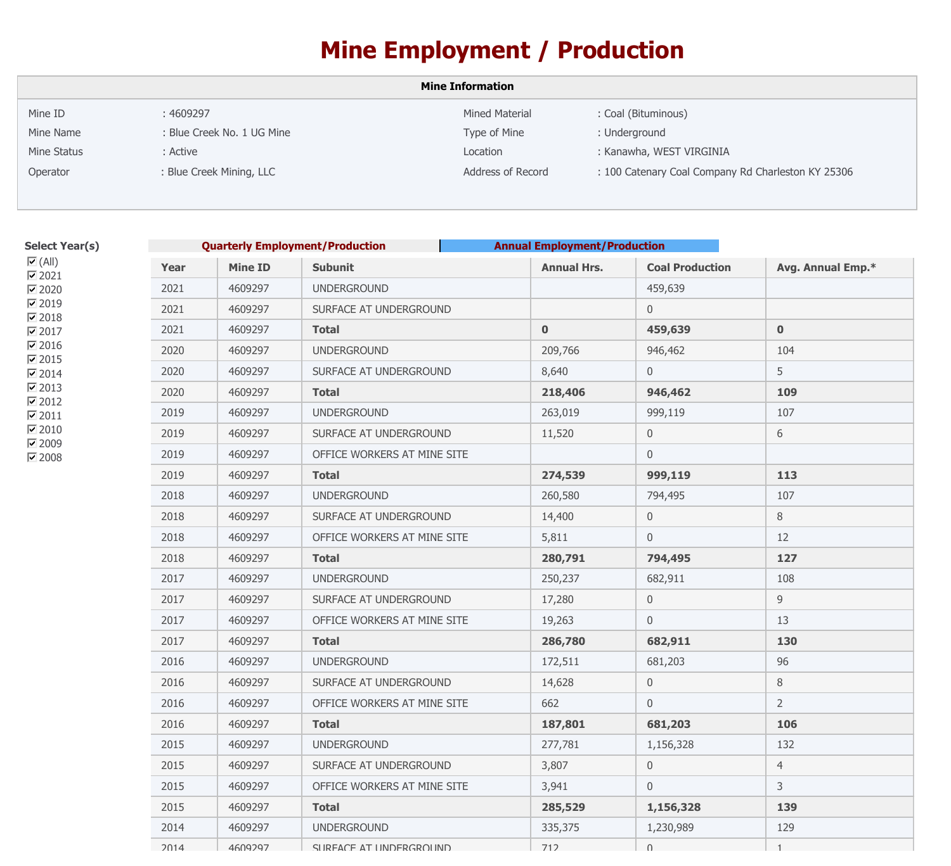| $\sqrt{2}$ | $\pm$ .<br>$\pm$ | $\pm ^{+}$<br>$\sim$ $\sim$              |                             |                   |
|------------|------------------|------------------------------------------|-----------------------------|-------------------|
|            |                  |                                          |                             |                   |
|            |                  |                                          |                             |                   |
|            |                  |                                          |                             |                   |
|            |                  |                                          | $!$ " # \$ % & #            |                   |
|            |                  |                                          |                             |                   |
|            |                  |                                          |                             |                   |
|            |                  | $'()$ \$ ! %                             | # ! % $\$$ ! % '            | ( $\#$            |
|            |                  |                                          |                             |                   |
|            |                  |                                          |                             |                   |
|            |                  |                                          |                             |                   |
|            |                  |                                          |                             |                   |
|            |                  | $'$ * ! \$ " & #                         | $\#$ $\#$ $\#$ $\$ ( ( $\#$ | ( ( $\&$          |
|            |                  |                                          |                             |                   |
|            |                  |                                          |                             |                   |
|            |                  |                                          |                             |                   |
|            |                  | $')$ \$ * # (                            | $^*$ # ! $\$$ ! # "         | $(\tt '$ $^\star$ |
|            |                  |                                          |                             |                   |
|            |                  |                                          |                             |                   |
|            |                  |                                          |                             |                   |
|            |                  | $^{\prime}$ ) % $\$ $^{\ast}$ )          | $%$ ) '\$#((                | (8)               |
|            |                  |                                          |                             |                   |
|            |                  |                                          |                             |                   |
|            |                  |                                          |                             |                   |
|            |                  | $( )$ $^{\star}$ $\updownarrow$ ) $\,$ ( | $%$ ) ( $$'$ &              | ( %)              |
|            |                  |                                          |                             |                   |
|            |                  |                                          |                             |                   |
|            |                  |                                          |                             |                   |
|            |                  | $'$ ) " $\frac{6}{3}$ " ' $\frac{4}{7}$  | $($ \$ ( " % \$ & ' )       | (8#               |
|            |                  |                                          |                             |                   |
|            |                  |                                          |                             |                   |

| ⊽                               |  |
|---------------------------------|--|
| $\overline{\blacktriangledown}$ |  |
| ∇                               |  |
| $\overline{\blacktriangledown}$ |  |
| ⊽                               |  |
| ⊽                               |  |
| $\overline{\triangledown}$      |  |
| $\overline{\triangledown}$      |  |
| $\overline{\triangledown}$      |  |
| ∇                               |  |
| $\overline{\vee}$               |  |
| ∇                               |  |
| $\overline{\triangledown}$      |  |
| ⊽                               |  |
| ⊽                               |  |

 $\sigma_{\rm{max}}$ 

|            |                                                |                           | $\frac{1}{2}$ $\frac{1}{2}$ $\frac{1}{2}$ $\frac{1}{2}$ $\frac{1}{2}$ $\frac{1}{2}$ $\frac{1}{2}$ $\frac{1}{2}$ $\frac{1}{2}$ $\frac{1}{2}$ $\frac{1}{2}$ $\frac{1}{2}$ $\frac{1}{2}$ $\frac{1}{2}$ $\frac{1}{2}$ $\frac{1}{2}$ $\frac{1}{2}$ $\frac{1}{2}$ $\frac{1}{2}$ $\frac{1}{2}$ $\frac{1}{2}$ $\frac{1}{2}$                                                                                |
|------------|------------------------------------------------|---------------------------|----------------------------------------------------------------------------------------------------------------------------------------------------------------------------------------------------------------------------------------------------------------------------------------------------------------------------------------------------------------------------------------------------|
|            | $\frac{1}{2}$ #\$" ). -" +""3 '4 $\frac{1}{2}$ | $\% 8"$ ( !" ) !*"+,+'-!* |                                                                                                                                                                                                                                                                                                                                                                                                    |
| $!$ "/#/-0 | 1/2"                                           |                           | $9'1 \# / '!$ $\qquad \qquad$ $\qquad \qquad$ $\qquad \qquad$ $\qquad \qquad$ $\qquad \qquad$ $\qquad \qquad$ $\qquad \qquad$ $\qquad \qquad$ $\qquad \qquad$ $\qquad \qquad$ $\qquad \qquad$ $\qquad \qquad$ $\qquad \qquad$ $\qquad \qquad$ $\qquad \qquad$ $\qquad \qquad$ $\qquad \qquad$ $\qquad \qquad$ $\qquad \qquad$ $\qquad \qquad$ $\qquad \qquad$ $\qquad \qquad$ $\qquad \qquad$ $\q$ |
|            | $8'' + #/'+$ ) $-'' +'''3$ !!, 99              |                           | **+"00 '( "1'+* ) #/"!#+% '# '\$&#!% * 5#+ "0/'!</th></tr></tbody></table>                                                                                                                                                                                                                                                                                                                         |